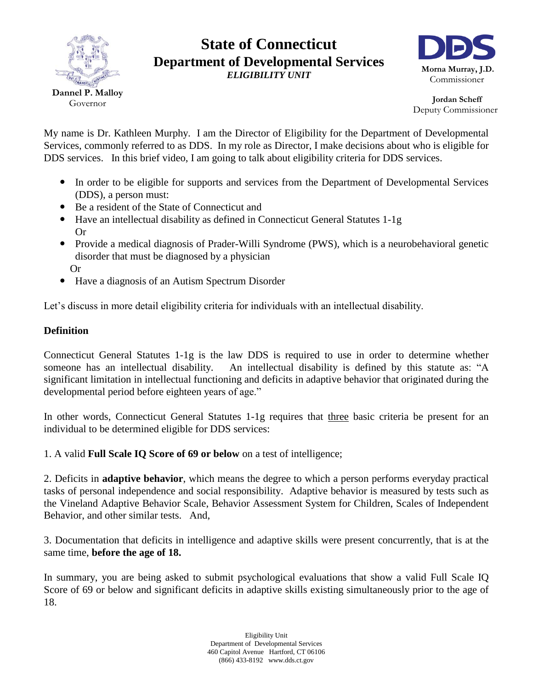

## **State of Connecticut Department of Developmental Services** *ELIGIBILITY UNIT*



 **Jordan Scheff** Deputy Commissioner

My name is Dr. Kathleen Murphy. I am the Director of Eligibility for the Department of Developmental Services, commonly referred to as DDS. In my role as Director, I make decisions about who is eligible for DDS services. In this brief video, I am going to talk about eligibility criteria for DDS services.

- In order to be eligible for supports and services from the Department of Developmental Services (DDS), a person must:
- Be a resident of the State of Connecticut and
- Have an intellectual disability as defined in Connecticut General Statutes 1-1g Or
- Provide a medical diagnosis of Prader-Willi Syndrome (PWS), which is a neurobehavioral genetic disorder that must be diagnosed by a physician Or
- Have a diagnosis of an Autism Spectrum Disorder

Let's discuss in more detail eligibility criteria for individuals with an intellectual disability.

## **Definition**

Connecticut General Statutes 1-1g is the law DDS is required to use in order to determine whether someone has an intellectual disability. An intellectual disability is defined by this statute as: "A significant limitation in intellectual functioning and deficits in adaptive behavior that originated during the developmental period before eighteen years of age."

In other words, Connecticut General Statutes 1-1g requires that three basic criteria be present for an individual to be determined eligible for DDS services:

1. A valid **Full Scale IQ Score of 69 or below** on a test of intelligence;

2. Deficits in **adaptive behavior**, which means the degree to which a person performs everyday practical tasks of personal independence and social responsibility. Adaptive behavior is measured by tests such as the Vineland Adaptive Behavior Scale, Behavior Assessment System for Children, Scales of Independent Behavior, and other similar tests. And,

3. Documentation that deficits in intelligence and adaptive skills were present concurrently, that is at the same time, **before the age of 18.** 

In summary, you are being asked to submit psychological evaluations that show a valid Full Scale IQ Score of 69 or below and significant deficits in adaptive skills existing simultaneously prior to the age of 18.

> Eligibility Unit Department of Developmental Services 460 Capitol Avenue Hartford, CT 06106 (866) 433-8192 www.dds.ct.gov